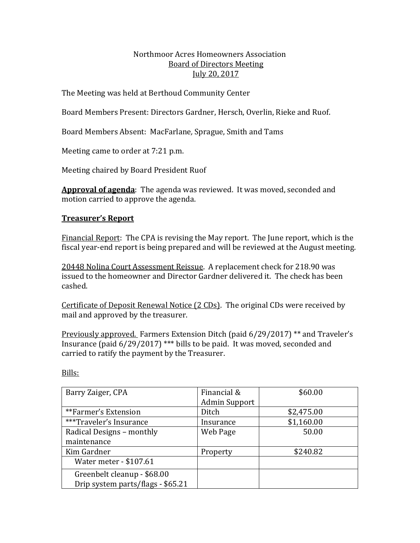#### Northmoor Acres Homeowners Association Board of Directors Meeting July 20, 2017

The Meeting was held at Berthoud Community Center

Board Members Present: Directors Gardner, Hersch, Overlin, Rieke and Ruof.

Board Members Absent: MacFarlane, Sprague, Smith and Tams

Meeting came to order at 7:21 p.m.

Meeting chaired by Board President Ruof

**Approval of agenda**: The agenda was reviewed. It was moved, seconded and motion carried to approve the agenda.

# **Treasurer's Report**

Financial Report: The CPA is revising the May report. The June report, which is the fiscal year-end report is being prepared and will be reviewed at the August meeting.

20448 Nolina Court Assessment Reissue. A replacement check for 218.90 was issued to the homeowner and Director Gardner delivered it. The check has been cashed. 

Certificate of Deposit Renewal Notice (2 CDs). The original CDs were received by mail and approved by the treasurer.

Previously approved. Farmers Extension Ditch (paid  $6/29/2017$ ) \*\* and Traveler's Insurance (paid  $6/29/2017$ ) \*\*\* bills to be paid. It was moved, seconded and carried to ratify the payment by the Treasurer.

| Barry Zaiger, CPA                                                | Financial &<br><b>Admin Support</b> | \$60.00    |
|------------------------------------------------------------------|-------------------------------------|------------|
| **Farmer's Extension                                             | Ditch                               | \$2,475.00 |
| ***Traveler's Insurance                                          | Insurance                           | \$1,160.00 |
| Radical Designs - monthly                                        | Web Page                            | 50.00      |
| maintenance                                                      |                                     |            |
| Kim Gardner                                                      | Property                            | \$240.82   |
| Water meter - \$107.61                                           |                                     |            |
| Greenbelt cleanup - \$68.00<br>Drip system parts/flags - \$65.21 |                                     |            |

Bills: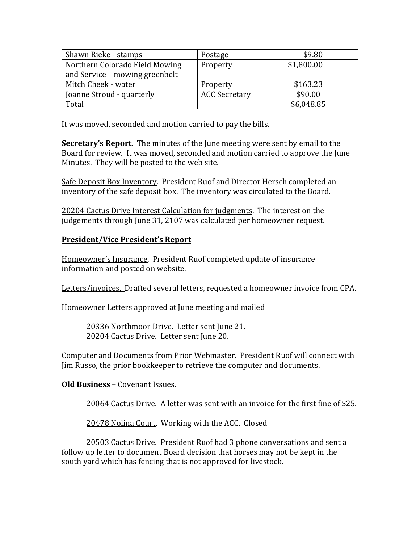| Shawn Rieke - stamps           | Postage              | \$9.80     |
|--------------------------------|----------------------|------------|
| Northern Colorado Field Mowing | Property             | \$1,800.00 |
| and Service - mowing greenbelt |                      |            |
| Mitch Cheek - water            | Property             | \$163.23   |
| Joanne Stroud - quarterly      | <b>ACC Secretary</b> | \$90.00    |
| Total                          |                      | \$6,048.85 |

It was moved, seconded and motion carried to pay the bills.

**Secretary's Report**. The minutes of the June meeting were sent by email to the Board for review. It was moved, seconded and motion carried to approve the June Minutes. They will be posted to the web site.

Safe Deposit Box Inventory. President Ruof and Director Hersch completed an inventory of the safe deposit box. The inventory was circulated to the Board.

20204 Cactus Drive Interest Calculation for judgments. The interest on the judgements through June 31, 2107 was calculated per homeowner request.

## **President/Vice President's Report**

Homeowner's Insurance. President Ruof completed update of insurance information and posted on website.

Letters/invoices. Drafted several letters, requested a homeowner invoice from CPA.

Homeowner Letters approved at June meeting and mailed

20336 Northmoor Drive. Letter sent June 21. 20204 Cactus Drive. Letter sent June 20.

Computer and Documents from Prior Webmaster. President Ruof will connect with Jim Russo, the prior bookkeeper to retrieve the computer and documents.

**Old Business** – Covenant Issues.

20064 Cactus Drive. A letter was sent with an invoice for the first fine of \$25.

20478 Nolina Court. Working with the ACC. Closed

20503 Cactus Drive. President Ruof had 3 phone conversations and sent a follow up letter to document Board decision that horses may not be kept in the south yard which has fencing that is not approved for livestock.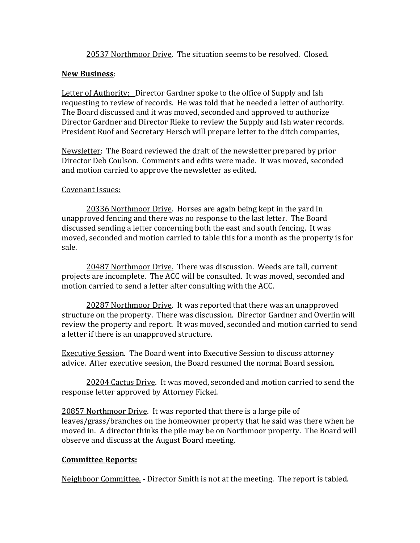20537 Northmoor Drive. The situation seems to be resolved. Closed.

## **New Business**:

Letter of Authority: Director Gardner spoke to the office of Supply and Ish requesting to review of records. He was told that he needed a letter of authority. The Board discussed and it was moved, seconded and approved to authorize Director Gardner and Director Rieke to review the Supply and Ish water records. President Ruof and Secretary Hersch will prepare letter to the ditch companies,

Newsletter: The Board reviewed the draft of the newsletter prepared by prior Director Deb Coulson. Comments and edits were made. It was moved, seconded and motion carried to approve the newsletter as edited.

#### Covenant Issues:

20336 Northmoor Drive. Horses are again being kept in the yard in unapproved fencing and there was no response to the last letter. The Board discussed sending a letter concerning both the east and south fencing. It was moved, seconded and motion carried to table this for a month as the property is for sale. 

20487 Northmoor Drive. There was discussion. Weeds are tall, current projects are incomplete. The ACC will be consulted. It was moved, seconded and motion carried to send a letter after consulting with the ACC.

20287 Northmoor Drive. It was reported that there was an unapproved structure on the property. There was discussion. Director Gardner and Overlin will review the property and report. It was moved, seconded and motion carried to send a letter if there is an unapproved structure.

**Executive Session.** The Board went into Executive Session to discuss attorney advice. After executive seesion, the Board resumed the normal Board session.

20204 Cactus Drive. It was moved, seconded and motion carried to send the response letter approved by Attorney Fickel.

20857 Northmoor Drive. It was reported that there is a large pile of leaves/grass/branches on the homeowner property that he said was there when he moved in. A director thinks the pile may be on Northmoor property. The Board will observe and discuss at the August Board meeting.

## **Committee Reports:**

Neighboor Committee. - Director Smith is not at the meeting. The report is tabled.